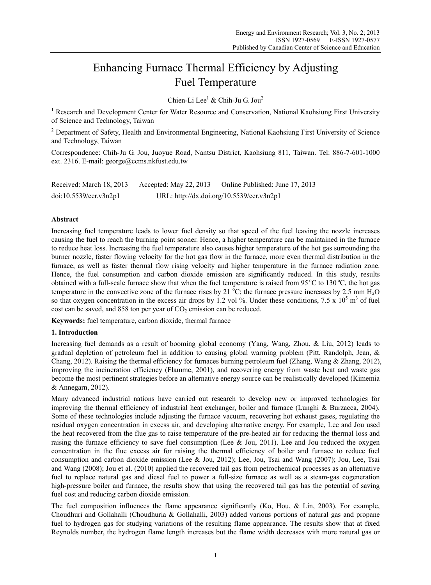# Enhancing Furnace Thermal Efficiency by Adjusting Fuel Temperature

Chien-Li Lee<sup>1</sup> & Chih-Ju G. Jou<sup>2</sup>

<sup>1</sup> Research and Development Center for Water Resource and Conservation, National Kaohsiung First University of Science and Technology, Taiwan

<sup>2</sup> Department of Safety, Health and Environmental Engineering, National Kaohsiung First University of Science and Technology, Taiwan

Correspondence: Chih-Ju G. Jou, Juoyue Road, Nantsu District, Kaohsiung 811, Taiwan. Tel: 886-7-601-1000 ext. 2316. E-mail: george@ccms.nkfust.edu.tw

| Received: March 18, 2013 | Accepted: May 22, 2013                    | Online Published: June 17, 2013 |
|--------------------------|-------------------------------------------|---------------------------------|
| doi:10.5539/eer.v3n2p1   | URL: http://dx.doi.org/10.5539/eer.v3n2p1 |                                 |

## **Abstract**

Increasing fuel temperature leads to lower fuel density so that speed of the fuel leaving the nozzle increases causing the fuel to reach the burning point sooner. Hence, a higher temperature can be maintained in the furnace to reduce heat loss. Increasing the fuel temperature also causes higher temperature of the hot gas surrounding the burner nozzle, faster flowing velocity for the hot gas flow in the furnace, more even thermal distribution in the furnace, as well as faster thermal flow rising velocity and higher temperature in the furnace radiation zone. Hence, the fuel consumption and carbon dioxide emission are significantly reduced. In this study, results obtained with a full-scale furnace show that when the fuel temperature is raised from 95  $\degree$ C to 130  $\degree$ C, the hot gas temperature in the convective zone of the furnace rises by 21  $^{\circ}$ C; the furnace pressure increases by 2.5 mm  $H_2O$ so that oxygen concentration in the excess air drops by 1.2 vol %. Under these conditions,  $7.5 \times 10^5$  m<sup>3</sup> of fuel cost can be saved, and  $858$  ton per year of  $CO<sub>2</sub>$  emission can be reduced.

**Keywords:** fuel temperature, carbon dioxide, thermal furnace

## **1. Introduction**

Increasing fuel demands as a result of booming global economy (Yang, Wang, Zhou, & Liu, 2012) leads to gradual depletion of petroleum fuel in addition to causing global warming problem (Pitt, Randolph, Jean, & Chang, 2012). Raising the thermal efficiency for furnaces burning petroleum fuel (Zhang, Wang & Zhang, 2012), improving the incineration efficiency (Flamme, 2001), and recovering energy from waste heat and waste gas become the most pertinent strategies before an alternative energy source can be realistically developed (Kimemia & Annegarn, 2012).

Many advanced industrial nations have carried out research to develop new or improved technologies for improving the thermal efficiency of industrial heat exchanger, boiler and furnace (Lunghi & Burzacca, 2004). Some of these technologies include adjusting the furnace vacuum, recovering hot exhaust gases, regulating the residual oxygen concentration in excess air, and developing alternative energy. For example, Lee and Jou used the heat recovered from the flue gas to raise temperature of the pre-heated air for reducing the thermal loss and raising the furnace efficiency to save fuel consumption (Lee  $\&$  Jou, 2011). Lee and Jou reduced the oxygen concentration in the flue excess air for raising the thermal efficiency of boiler and furnace to reduce fuel consumption and carbon dioxide emission (Lee & Jou, 2012); Lee, Jou, Tsai and Wang (2007); Jou, Lee, Tsai and Wang (2008); Jou et al. (2010) applied the recovered tail gas from petrochemical processes as an alternative fuel to replace natural gas and diesel fuel to power a full-size furnace as well as a steam-gas cogeneration high-pressure boiler and furnace, the results show that using the recovered tail gas has the potential of saving fuel cost and reducing carbon dioxide emission.

The fuel composition influences the flame appearance significantly (Ko, Hou, & Lin, 2003). For example, Choudhuri and Gollahalli (Choudhuria & Gollahalli, 2003) added various portions of natural gas and propane fuel to hydrogen gas for studying variations of the resulting flame appearance. The results show that at fixed Reynolds number, the hydrogen flame length increases but the flame width decreases with more natural gas or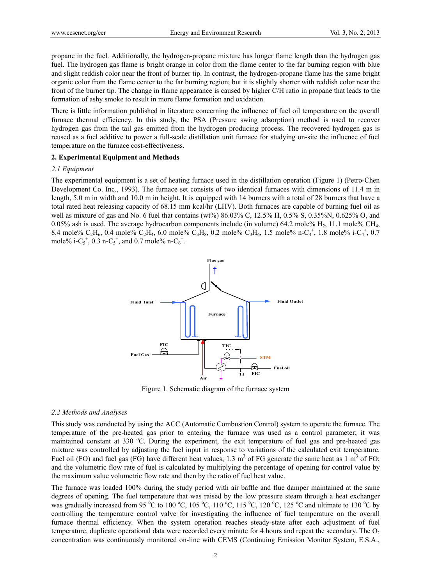propane in the fuel. Additionally, the hydrogen-propane mixture has longer flame length than the hydrogen gas fuel. The hydrogen gas flame is bright orange in color from the flame center to the far burning region with blue and slight reddish color near the front of burner tip. In contrast, the hydrogen-propane flame has the same bright organic color from the flame center to the far burning region; but it is slightly shorter with reddish color near the front of the burner tip. The change in flame appearance is caused by higher C/H ratio in propane that leads to the formation of ashy smoke to result in more flame formation and oxidation.

There is little information published in literature concerning the influence of fuel oil temperature on the overall furnace thermal efficiency. In this study, the PSA (Pressure swing adsorption) method is used to recover hydrogen gas from the tail gas emitted from the hydrogen producing process. The recovered hydrogen gas is reused as a fuel additive to power a full-scale distillation unit furnace for studying on-site the influence of fuel temperature on the furnace cost-effectiveness.

## **2. Experimental Equipment and Methods**

#### *2.1 Equipment*

The experimental equipment is a set of heating furnace used in the distillation operation (Figure 1) (Petro-Chen Development Co. Inc., 1993). The furnace set consists of two identical furnaces with dimensions of 11.4 m in length, 5.0 m in width and 10.0 m in height. It is equipped with 14 burners with a total of 28 burners that have a total rated heat releasing capacity of 68.15 mm kcal/hr (LHV). Both furnaces are capable of burning fuel oil as well as mixture of gas and No. 6 fuel that contains (wt%) 86.03% C, 12.5% H, 0.5% S, 0.35%N, 0.625% O, and 0.05% ash is used. The average hydrocarbon components include (in volume) 64.2 mole%  $H_2$ , 11.1 mole% CH<sub>4</sub>, 8.4 mole%  $C_2H_6$ , 0.4 mole%  $C_2H_4$ , 6.0 mole%  $C_3H_8$ , 0.2 mole%  $C_3H_6$ , 1.5 mole% n- $C_4^+$ , 1.8 mole% i- $C_4^+$ , 0.7 mole% i-C<sub>5</sub><sup>+</sup>, 0.3 n-C<sub>5</sub><sup>+</sup>, and 0.7 mole% n-C<sub>6</sub><sup>+</sup>.



Figure 1. Schematic diagram of the furnace system

#### *2.2 Methods and Analyses*

This study was conducted by using the ACC (Automatic Combustion Control) system to operate the furnace. The temperature of the pre-heated gas prior to entering the furnace was used as a control parameter; it was maintained constant at 330 °C. During the experiment, the exit temperature of fuel gas and pre-heated gas mixture was controlled by adjusting the fuel input in response to variations of the calculated exit temperature. Fuel oil (FO) and fuel gas (FG) have different heat values; 1.3 m<sup>3</sup> of FG generate the same heat as 1 m<sup>3</sup> of FO; and the volumetric flow rate of fuel is calculated by multiplying the percentage of opening for control value by the maximum value volumetric flow rate and then by the ratio of fuel heat value.

The furnace was loaded 100% during the study period with air baffle and flue damper maintained at the same degrees of opening. The fuel temperature that was raised by the low pressure steam through a heat exchanger was gradually increased from 95 °C to 100 °C, 105 °C, 110 °C, 115 °C, 120 °C, 125 °C and ultimate to 130 °C by controlling the temperature control valve for investigating the influence of fuel temperature on the overall furnace thermal efficiency. When the system operation reaches steady-state after each adjustment of fuel temperature, duplicate operational data were recorded every minute for 4 hours and repeat the secondary. The  $O<sub>2</sub>$ concentration was continuously monitored on-line with CEMS (Continuing Emission Monitor System, E.S.A.,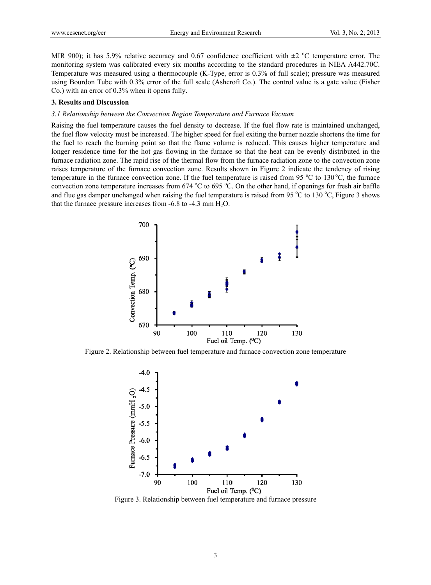MIR 900); it has 5.9% relative accuracy and 0.67 confidence coefficient with  $\pm 2$  °C temperature error. The monitoring system was calibrated every six months according to the standard procedures in NIEA A442.70C. Temperature was measured using a thermocouple (K-Type, error is 0.3% of full scale); pressure was measured using Bourdon Tube with 0.3% error of the full scale (Ashcroft Co.). The control value is a gate value (Fisher Co.) with an error of 0.3% when it opens fully.

#### **3. Results and Discussion**

#### *3.1 Relationship between the Convection Region Temperature and Furnace Vacuum*

Raising the fuel temperature causes the fuel density to decrease. If the fuel flow rate is maintained unchanged, the fuel flow velocity must be increased. The higher speed for fuel exiting the burner nozzle shortens the time for the fuel to reach the burning point so that the flame volume is reduced. This causes higher temperature and longer residence time for the hot gas flowing in the furnace so that the heat can be evenly distributed in the furnace radiation zone. The rapid rise of the thermal flow from the furnace radiation zone to the convection zone raises temperature of the furnace convection zone. Results shown in Figure 2 indicate the tendency of rising temperature in the furnace convection zone. If the fuel temperature is raised from 95  $^{\circ}$ C to 130  $^{\circ}$ C, the furnace convection zone temperature increases from  $674 \text{ °C}$  to  $695 \text{ °C}$ . On the other hand, if openings for fresh air baffle and flue gas damper unchanged when raising the fuel temperature is raised from 95  $^{\circ}$ C to 130  $^{\circ}$ C, Figure 3 shows that the furnace pressure increases from  $-6.8$  to  $-4.3$  mm  $H<sub>2</sub>O$ .



Figure 2. Relationship between fuel temperature and furnace convection zone temperature



Figure 3. Relationship between fuel temperature and furnace pressure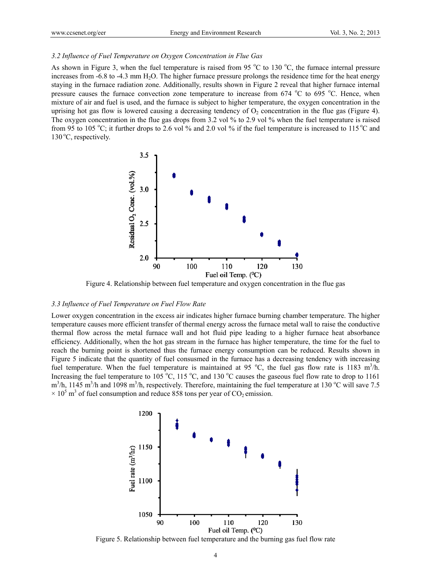## *3.2 Influence of Fuel Temperature on Oxygen Concentration in Flue Gas*

As shown in Figure 3, when the fuel temperature is raised from 95  $^{\circ}$ C to 130  $^{\circ}$ C, the furnace internal pressure increases from  $-6.8$  to  $-4.3$  mm  $H<sub>2</sub>O$ . The higher furnace pressure prolongs the residence time for the heat energy staying in the furnace radiation zone. Additionally, results shown in Figure 2 reveal that higher furnace internal pressure causes the furnace convection zone temperature to increase from 674 °C to 695 °C. Hence, when mixture of air and fuel is used, and the furnace is subject to higher temperature, the oxygen concentration in the uprising hot gas flow is lowered causing a decreasing tendency of  $O<sub>2</sub>$  concentration in the flue gas (Figure 4). The oxygen concentration in the flue gas drops from 3.2 vol % to 2.9 vol % when the fuel temperature is raised from 95 to 105 °C; it further drops to 2.6 vol % and 2.0 vol % if the fuel temperature is increased to 115 °C and  $130^{\circ}$ C, respectively.



Figure 4. Relationship between fuel temperature and oxygen concentration in the flue gas

#### *3.3 Influence of Fuel Temperature on Fuel Flow Rate*

Lower oxygen concentration in the excess air indicates higher furnace burning chamber temperature. The higher temperature causes more efficient transfer of thermal energy across the furnace metal wall to raise the conductive thermal flow across the metal furnace wall and hot fluid pipe leading to a higher furnace heat absorbance efficiency. Additionally, when the hot gas stream in the furnace has higher temperature, the time for the fuel to reach the burning point is shortened thus the furnace energy consumption can be reduced. Results shown in Figure 5 indicate that the quantity of fuel consusmed in the furnace has a decreasing tendency with increasing fuel temperature. When the fuel temperature is maintained at 95 °C, the fuel gas flow rate is 1183 m<sup>3</sup>/h. Increasing the fuel temperature to 105 °C, 115 °C, and 130 °C causes the gaseous fuel flow rate to drop to 1161  $\text{m}^3$ /h, 1145 m<sup>3</sup>/h and 1098 m<sup>3</sup>/h, respectively. Therefore, maintaining the fuel temperature at 130 °C will save 7.5  $\times$  10<sup>5</sup> m<sup>3</sup> of fuel consumption and reduce 858 tons per year of CO<sub>2</sub> emission.



Figure 5. Relationship between fuel temperature and the burning gas fuel flow rate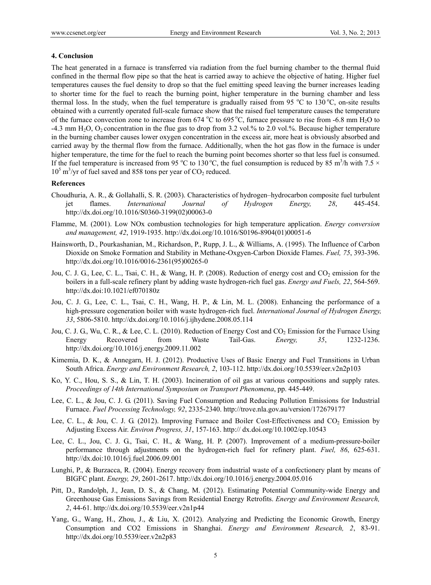## **4. Conclusion**

The heat generated in a furnace is transferred via radiation from the fuel burning chamber to the thermal fluid confined in the thermal flow pipe so that the heat is carried away to achieve the objective of hating. Higher fuel temperatures causes the fuel density to drop so that the fuel emitting speed leaving the burner increases leading to shorter time for the fuel to reach the burning point, higher temperature in the burning chamber and less thermal loss. In the study, when the fuel temperature is gradually raised from 95 °C to 130 °C, on-site results obtained with a currently operated full-scale furnace show that the raised fuel temperature causes the temperature of the furnace convection zone to increase from 674 °C to 695 °C, furnace pressure to rise from -6.8 mm  $H_2O$  to  $-4.3$  mm H<sub>2</sub>O, O<sub>2</sub> concentration in the flue gas to drop from 3.2 vol.% to 2.0 vol.%. Because higher temperature in the burning chamber causes lower oxygen concentration in the excess air, more heat is obviously absorbed and carried away by the thermal flow from the furnace. Additionally, when the hot gas flow in the furnace is under higher temperature, the time for the fuel to reach the burning point becomes shorter so that less fuel is consumed. If the fuel temperature is increased from 95 °C to 130 °C, the fuel consumption is reduced by 85 m<sup>3</sup>/h with 7.5  $\times$ 10<sup>5</sup> m<sup>3</sup>/yr of fuel saved and 858 tons per year of CO<sub>2</sub> reduced.

#### **References**

- Choudhuria, A. R., & Gollahalli, S. R. (2003). Characteristics of hydrogen–hydrocarbon composite fuel turbulent jet flames. *International Journal of Hydrogen Energy, 28*, 445-454. http://dx.doi.org/10.1016/S0360-3199(02)00063-0
- Flamme, M. (2001). Low NOx combustion technologies for high temperature application. *Energy conversion and management, 42*, 1919-1935. http://dx.doi.org/10.1016/S0196-8904(01)00051-6
- Hainsworth, D., Pourkashanian, M., Richardson, P., Rupp, J. L., & Williams, A. (1995). The Influence of Carbon Dioxide on Smoke Formation and Stability in Methane-Oxgyen-Carbon Dioxide Flames. *Fuel, 75*, 393-396. http://dx.doi.org/10.1016/0016-2361(95)00265-0
- Jou, C. J. G., Lee, C. L., Tsai, C. H., & Wang, H. P. (2008). Reduction of energy cost and CO<sub>2</sub> emission for the boilers in a full-scale refinery plant by adding waste hydrogen-rich fuel gas. *Energy and Fuels, 22*, 564-569. http://dx.doi:10.1021/ef070180z
- Jou, C. J. G., Lee, C. L., Tsai, C. H., Wang, H. P., & Lin, M. L. (2008). Enhancing the performance of a high-pressure cogeneration boiler with waste hydrogen-rich fuel. *International Journal of Hydrogen Energy, 33*, 5806-5810. http://dx.doi.org/10.1016/j.ijhydene.2008.05.114
- Jou, C. J. G., Wu, C. R., & Lee, C. L. (2010). Reduction of Energy Cost and CO<sub>2</sub> Emission for the Furnace Using Energy Recovered from Waste Tail-Gas. *Energy, 35*, 1232-1236. http://dx.doi.org/10.1016/j.energy.2009.11.002
- Kimemia, D. K., & Annegarn, H. J. (2012). Productive Uses of Basic Energy and Fuel Transitions in Urban South Africa. *Energy and Environment Research, 2*, 103-112. http://dx.doi.org/10.5539/eer.v2n2p103
- Ko, Y. C., Hou, S. S., & Lin, T. H. (2003). Incineration of oil gas at various compositions and supply rates. *Proceedings of 14th International Symposium on Transport Phenomena*, pp. 445-449.
- Lee, C. L., & Jou, C. J. G. (2011). Saving Fuel Consumption and Reducing Pollution Emissions for Industrial Furnace. *Fuel Processing Technology, 92*, 2335-2340. http://trove.nla.gov.au/version/172679177
- Lee, C. L., & Jou, C. J. G. (2012). Improving Furnace and Boiler Cost-Effectiveness and  $CO<sub>2</sub>$  Emission by Adjusting Excess Air. *Environ Progress, 31*, 157-163. http:// dx.doi.org/10.1002/ep.10543
- Lee, C. L., Jou, C. J. G., Tsai, C. H., & Wang, H. P. (2007). Improvement of a medium-pressure-boiler performance through adjustments on the hydrogen-rich fuel for refinery plant. *Fuel, 86*, 625-631. http://dx.doi:10.1016/j.fuel.2006.09.001
- Lunghi, P., & Burzacca, R. (2004). Energy recovery from industrial waste of a confectionery plant by means of BIGFC plant. *Energy, 29*, 2601-2617. http://dx.doi.org/10.1016/j.energy.2004.05.016
- Pitt, D., Randolph, J., Jean, D. S., & Chang, M. (2012). Estimating Potential Community-wide Energy and Greenhouse Gas Emissions Savings from Residential Energy Retrofits. *Energy and Environment Research, 2*, 44-61. http://dx.doi.org/10.5539/eer.v2n1p44
- Yang, G., Wang, H., Zhou, J., & Liu, X. (2012). Analyzing and Predicting the Economic Growth, Energy Consumption and CO2 Emissions in Shanghai. *Energy and Environment Research, 2*, 83-91. http://dx.doi.org/10.5539/eer.v2n2p83